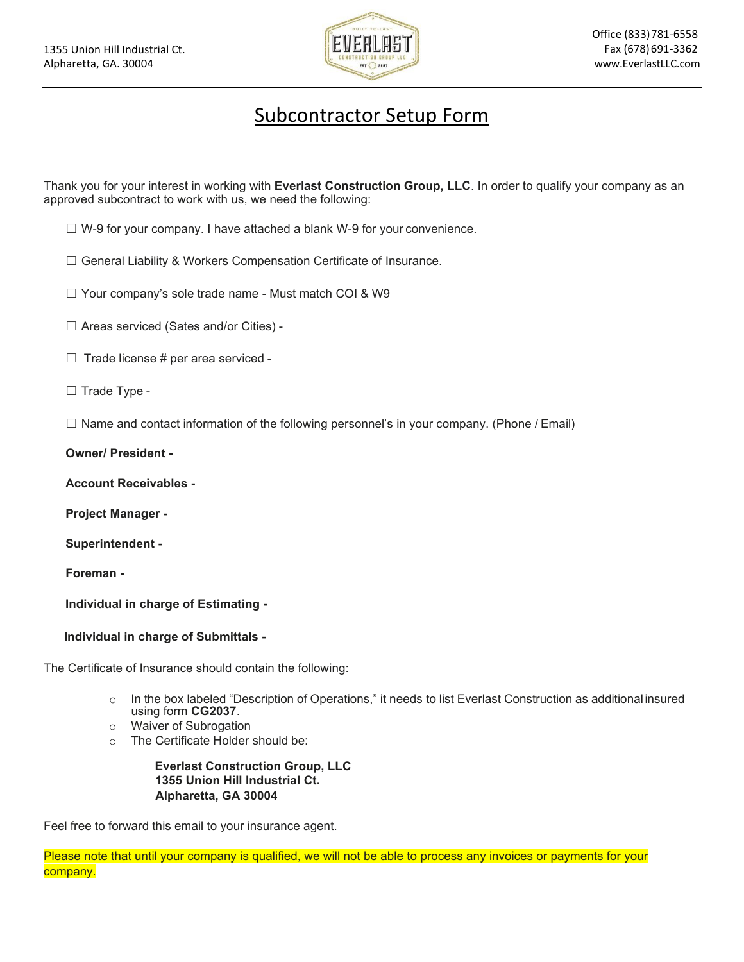

## Subcontractor Setup Form

Thank you for your interest in working with **Everlast Construction Group, LLC**. In order to qualify your company as an approved subcontract to work with us, we need the following:

- $\Box$  W-9 for your company. I have attached a blank W-9 for your convenience.
- ☐ General Liability & Workers Compensation Certificate of Insurance.
- ☐ Your company's sole trade name Must match COI & W9
- ☐ Areas serviced (Sates and/or Cities) -
- $\Box$  Trade license # per area serviced -
- ☐ Trade Type -
- $\Box$  Name and contact information of the following personnel's in your company. (Phone / Email)

## **Owner/ President -**

**Account Receivables -**

**Project Manager -**

**Superintendent -**

**Foreman -**

**Individual in charge of Estimating -**

**Individual in charge of Submittals -**

The Certificate of Insurance should contain the following:

- o In the box labeled "Description of Operations," it needs to list Everlast Construction as additional insured using form **CG2037**.
- o Waiver of Subrogation
- o The Certificate Holder should be:

## **Everlast Construction Group, LLC 1355 Union Hill Industrial Ct. Alpharetta, GA 30004**

Feel free to forward this email to your insurance agent.

Please note that until your company is qualified, we will not be able to process any invoices or payments for your company.